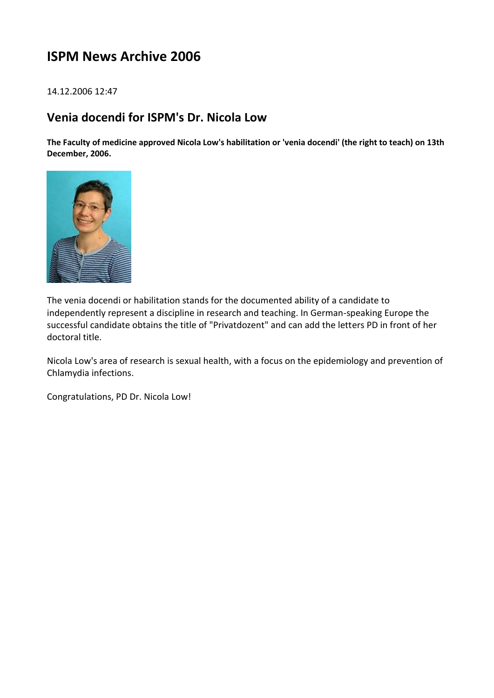# **ISPM News Archive 2006**

# 14.12.2006 12:47

# **Venia docendi for ISPM's Dr. Nicola Low**

**The Faculty of medicine approved Nicola Low's habilitation or 'venia docendi' (the right to teach) on 13th December, 2006.**



The venia docendi or habilitation stands for the documented ability of a candidate to independently represent a discipline in research and teaching. In German-speaking Europe the successful candidate obtains the title of "Privatdozent" and can add the letters PD in front of her doctoral title.

Nicola Low's area of research is sexual health, with a focus on the epidemiology and prevention of Chlamydia infections.

Congratulations, PD Dr. Nicola Low!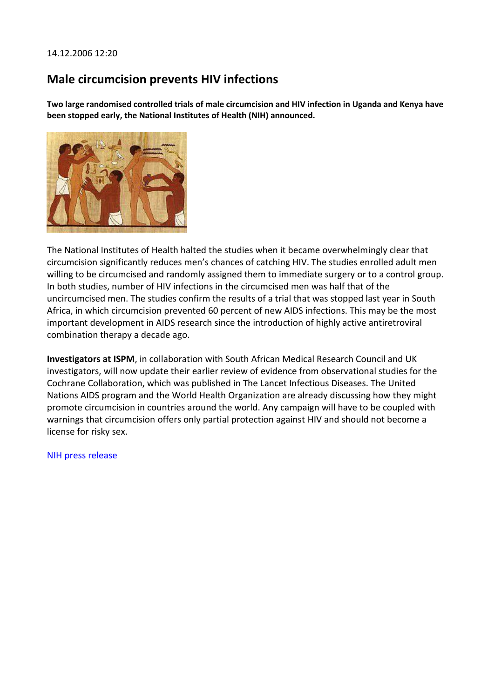# 14.12.2006 12:20

# **Male circumcision prevents HIV infections**

**Two large randomised controlled trials of male circumcision and HIV infection in Uganda and Kenya have been stopped early, the National Institutes of Health (NIH) announced.**



The National Institutes of Health halted the studies when it became overwhelmingly clear that circumcision significantly reduces men's chances of catching HIV. The studies enrolled adult men willing to be circumcised and randomly assigned them to immediate surgery or to a control group. In both studies, number of HIV infections in the circumcised men was half that of the uncircumcised men. The studies confirm the results of a trial that was stopped last year in South Africa, in which circumcision prevented 60 percent of new AIDS infections. This may be the most important development in AIDS research since the introduction of highly active antiretroviral combination therapy a decade ago.

**Investigators at ISPM**, in collaboration with South African Medical Research Council and UK investigators, will now update their earlier review of evidence from observational studies for the Cochrane Collaboration, which was published in The Lancet Infectious Diseases. The United Nations AIDS program and the World Health Organization are already discussing how they might promote circumcision in countries around the world. Any campaign will have to be coupled with warnings that circumcision offers only partial protection against HIV and should not become a license for risky sex.

[NIH press release](http://www3.niaid.nih.gov/news/newsreleases/2006/AMC12_06press.htm)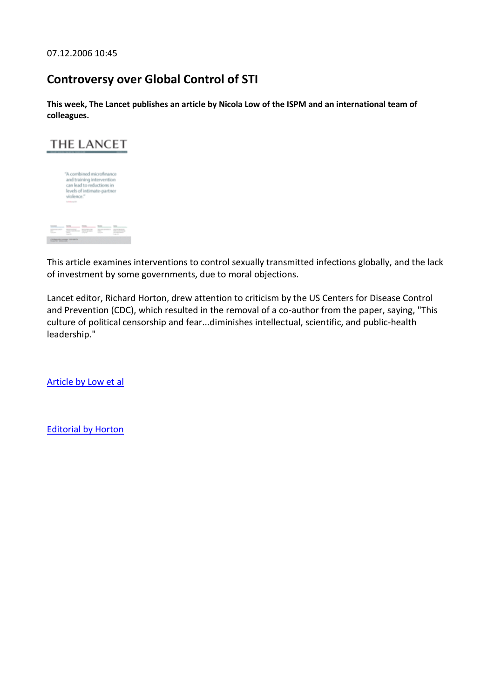07.12.2006 10:45

# **Controversy over Global Control of STI**

**This week, The Lancet publishes an article by Nicola Low of the ISPM and an international team of colleagues.**



"A combined microfinance and training intervention<br>can lead to reductions in<br>levels of intimate-partner violence." 

This article examines interventions to control sexually transmitted infections globally, and the lack of investment by some governments, due to moral objections.

Lancet editor, Richard Horton, drew attention to criticism by the US Centers for Disease Control and Prevention (CDC), which resulted in the removal of a co-author from the paper, saying, "This culture of political censorship and fear...diminishes intellectual, scientific, and public-health leadership."

[Article by Low et al](http://www.thelancet.com/journals/lancet/article/PIIS0140673606694828/abstract) 

[Editorial by Horton](http://www.thelancet.com/journals/lancet/article/PIIS0140673606694828/abstract)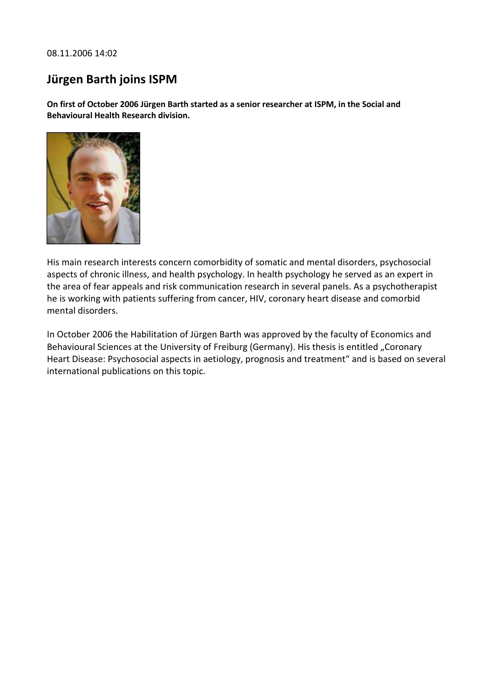08.11.2006 14:02

# **Jürgen Barth joins ISPM**

**On first of October 2006 Jürgen Barth started as a senior researcher at ISPM, in the Social and Behavioural Health Research division.**



His main research interests concern comorbidity of somatic and mental disorders, psychosocial aspects of chronic illness, and health psychology. In health psychology he served as an expert in the area of fear appeals and risk communication research in several panels. As a psychotherapist he is working with patients suffering from cancer, HIV, coronary heart disease and comorbid mental disorders.

In October 2006 the Habilitation of Jürgen Barth was approved by the faculty of Economics and Behavioural Sciences at the University of Freiburg (Germany). His thesis is entitled "Coronary Heart Disease: Psychosocial aspects in aetiology, prognosis and treatment" and is based on several international publications on this topic.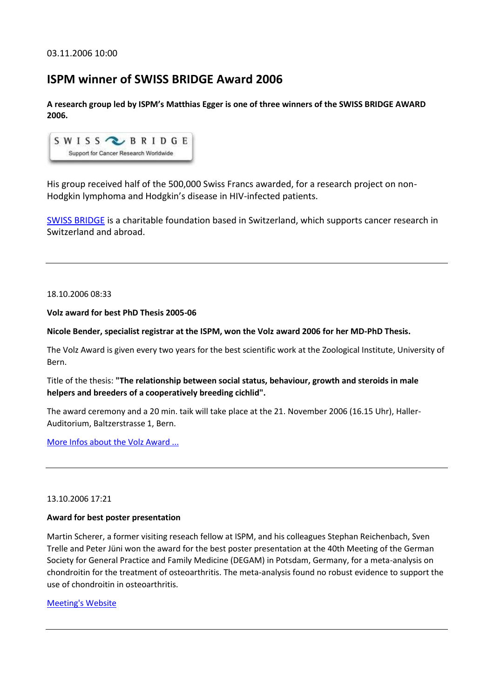# **ISPM winner of SWISS BRIDGE Award 2006**

**A research group led by ISPM's Matthias Egger is one of three winners of the SWISS BRIDGE AWARD 2006.**



His group received half of the 500,000 Swiss Francs awarded, for a research project on non-Hodgkin lymphoma and Hodgkin's disease in HIV-infected patients.

[SWISS BRIDGE](http://www.swissbridge.ch/) is a charitable foundation based in Switzerland, which supports cancer research in Switzerland and abroad.

18.10.2006 08:33

**Volz award for best PhD Thesis 2005-06**

**Nicole Bender, specialist registrar at the ISPM, won the Volz award 2006 for her MD-PhD Thesis.**

The Volz Award is given every two years for the best scientific work at the Zoological Institute, University of Bern.

Title of the thesis: **"The relationship between social status, behaviour, growth and steroids in male helpers and breeders of a cooperatively breeding cichlid".** 

The award ceremony and a 20 min. taik will take place at the 21. November 2006 (16.15 Uhr), Haller-Auditorium, Baltzerstrasse 1, Bern.

[More Infos about the Volz Award ...](http://www.zoology.unibe.ch/general/general/volzpreis_d.php)

# 13.10.2006 17:21

# **Award for best poster presentation**

Martin Scherer, a former visiting reseach fellow at ISPM, and his colleagues Stephan Reichenbach, Sven Trelle and Peter Jüni won the award for the best poster presentation at the 40th Meeting of the German Society for General Practice and Family Medicine (DEGAM) in Potsdam, Germany, for a meta-analysis on chondroitin for the treatment of osteoarthritis. The meta-analysis found no robust evidence to support the use of chondroitin in osteoarthritis.

## [Meeting's Website](http://www.degam.de/kongresse.html)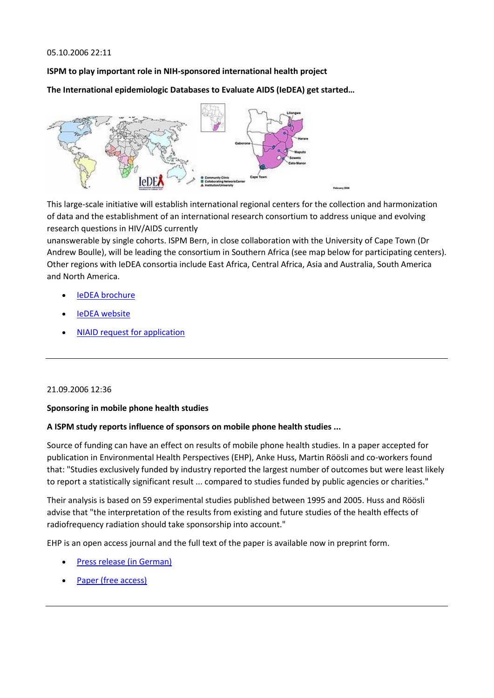## 05.10.2006 22:11

**ISPM to play important role in NIH-sponsored international health project**

**The International epidemiologic Databases to Evaluate AIDS (IeDEA) get started…**



This large-scale initiative will establish international regional centers for the collection and harmonization of data and the establishment of an international research consortium to address unique and evolving research questions in HIV/AIDS currently

unanswerable by single cohorts. ISPM Bern, in close collaboration with the University of Cape Town (Dr Andrew Boulle), will be leading the consortium in Southern Africa (see map below for participating centers). Other regions with IeDEA consortia include East Africa, Central Africa, Asia and Australia, South America and North America.

- [IeDEA brochure](http://staging.ispm.ch/fileadmin/user_upload/rb_ul/IeDEA_brochure.pdf)
- [IeDEA website](http://www.iedea-hiv.org/)
- [NIAID request for application](http://grants.nih.gov/grants/guide/rfa-files/RFA-AI-05-014.html)

## 21.09.2006 12:36

## **Sponsoring in mobile phone health studies**

## **A ISPM study reports influence of sponsors on mobile phone health studies ...**

Source of funding can have an effect on results of mobile phone health studies. In a paper accepted for publication in Environmental Health Perspectives (EHP), Anke Huss, Martin Röösli and co-workers found that: "Studies exclusively funded by industry reported the largest number of outcomes but were least likely to report a statistically significant result ... compared to studies funded by public agencies or charities."

Their analysis is based on 59 experimental studies published between 1995 and 2005. Huss and Röösli advise that "the interpretation of the results from existing and future studies of the health effects of radiofrequency radiation should take sponsorship into account."

EHP is an open access journal and the full text of the paper is available now in preprint form.

- [Press release \(in German\)](http://www.kommunikation.unibe.ch/lenya/kommunikation/live/medien/mitteilungen/news/2006/mobilfunk.html)
- [Paper \(free access\)](http://www.ehponline.org/docs/2006/9149/abstract.html)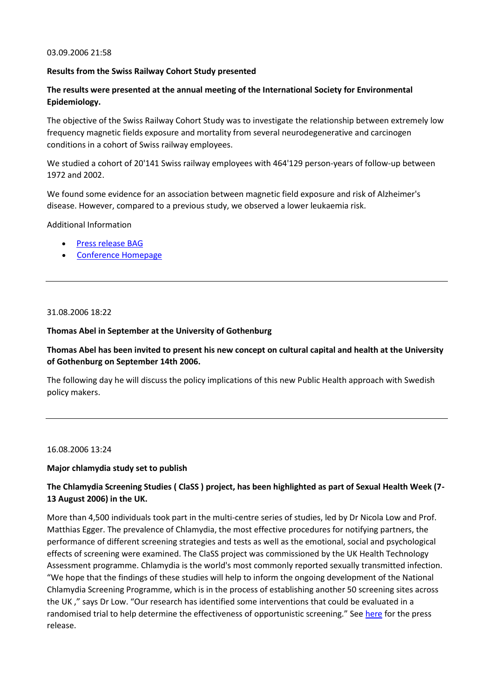#### 03.09.2006 21:58

## **Results from the Swiss Railway Cohort Study presented**

# **The results were presented at the annual meeting of the International Society for Environmental Epidemiology.**

The objective of the Swiss Railway Cohort Study was to investigate the relationship between extremely low frequency magnetic fields exposure and mortality from several neurodegenerative and carcinogen conditions in a cohort of Swiss railway employees.

We studied a cohort of 20'141 Swiss railway employees with 464'129 person-years of follow-up between 1972 and 2002.

We found some evidence for an association between magnetic field exposure and risk of Alzheimer's disease. However, compared to a previous study, we observed a lower leukaemia risk.

Additional Information

- [Press release BAG](http://www.bag.admin.ch/aktuell/00718/01220/index.html?lang=de&msg-id=7035)
- [Conference Homepage](http://www.paris2006.afsse.fr/)

## 31.08.2006 18:22

## **Thomas Abel in September at the University of Gothenburg**

# **Thomas Abel has been invited to present his new concept on cultural capital and health at the University of Gothenburg on September 14th 2006.**

The following day he will discuss the policy implications of this new Public Health approach with Swedish policy makers.

# 16.08.2006 13:24

## **Major chlamydia study set to publish**

# **The Chlamydia Screening Studies ( ClaSS ) project, has been highlighted as part of Sexual Health Week (7- 13 August 2006) in the UK.**

More than 4,500 individuals took part in the multi-centre series of studies, led by Dr Nicola Low and Prof. Matthias Egger. The prevalence of Chlamydia, the most effective procedures for notifying partners, the performance of different screening strategies and tests as well as the emotional, social and psychological effects of screening were examined. The ClaSS project was commissioned by the UK Health Technology Assessment programme. Chlamydia is the world's most commonly reported sexually transmitted infection. "We hope that the findings of these studies will help to inform the ongoing development of the National Chlamydia Screening Programme, which is in the process of establishing another 50 screening sites across the UK ," says Dr Low. "Our research has identified some interventions that could be evaluated in a randomised trial to help determine the effectiveness of opportunistic screening." See [here](http://www.hta.nhsweb.nhs.uk/news/newsitem06080701.htm) for the press release.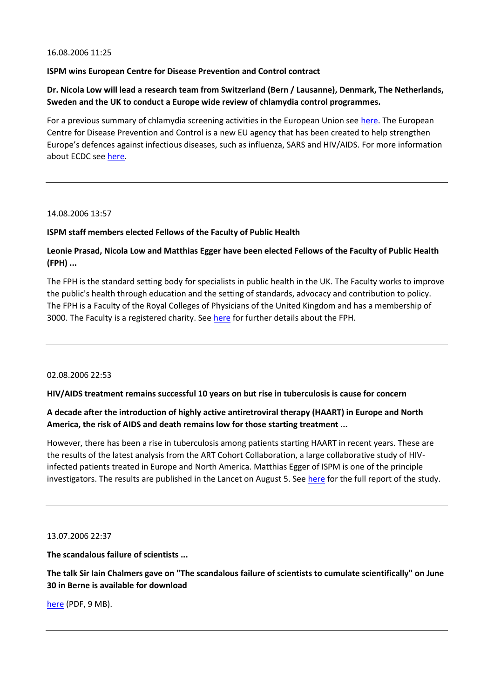#### 16.08.2006 11:25

## **ISPM wins European Centre for Disease Prevention and Control contract**

# **Dr. Nicola Low will lead a research team from Switzerland (Bern / Lausanne), Denmark, The Netherlands, Sweden and the UK to conduct a Europe wide review of chlamydia control programmes.**

For a previous summary of chlamydia screening activities in the European Union see [here.](http://www.eurosurveillance.org/ew/2004/041007.asp#5) The European Centre for Disease Prevention and Control is a new EU agency that has been created to help strengthen Europe's defences against infectious diseases, such as influenza, SARS and HIV/AIDS. For more information about ECDC se[e here.](http://www.ecdc.eu.int/)

#### 14.08.2006 13:57

## **ISPM staff members elected Fellows of the Faculty of Public Health**

# **Leonie Prasad, Nicola Low and Matthias Egger have been elected Fellows of the Faculty of Public Health (FPH) ...**

The FPH is the standard setting body for specialists in public health in the UK. The Faculty works to improve the public's health through education and the setting of standards, advocacy and contribution to policy. The FPH is a Faculty of the Royal Colleges of Physicians of the United Kingdom and has a membership of 3000. The Faculty is a registered charity. See [here](http://www.fphm.org.uk/) for further details about the FPH.

## 02.08.2006 22:53

## **HIV/AIDS treatment remains successful 10 years on but rise in tuberculosis is cause for concern**

# **A decade after the introduction of highly active antiretroviral therapy (HAART) in Europe and North America, the risk of AIDS and death remains low for those starting treatment ...**

However, there has been a rise in tuberculosis among patients starting HAART in recent years. These are the results of the latest analysis from the ART Cohort Collaboration, a large collaborative study of HIVinfected patients treated in Europe and North America. Matthias Egger of ISPM is one of the principle investigators. The results are published in the Lancet on August 5. See [here](http://www.thelancet.com/) for the full report of the study.

#### 13.07.2006 22:37

**The scandalous failure of scientists ...**

**The talk Sir Iain Chalmers gave on "The scandalous failure of scientists to cumulate scientifically" on June 30 in Berne is available for download**

[here](http://staging.ispm.ch/fileadmin/doc_download/chalmers_bern_june_2006.pdf) (PDF, 9 MB).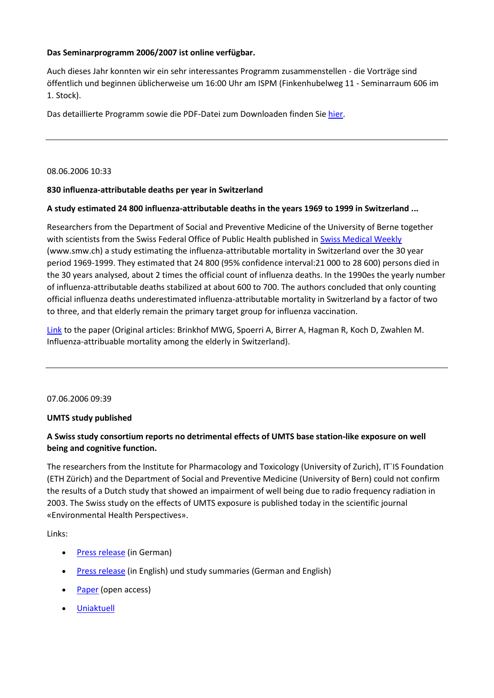# **Das Seminarprogramm 2006/2007 ist online verfügbar.**

Auch dieses Jahr konnten wir ein sehr interessantes Programm zusammenstellen - die Vorträge sind öffentlich und beginnen üblicherweise um 16:00 Uhr am ISPM (Finkenhubelweg 11 - Seminarraum 606 im 1. Stock).

Das detaillierte Programm sowie die PDF-Datei zum Downloaden finden Si[e hier.](http://www.ispm.ch/index.php?id=teaching)

08.06.2006 10:33

## **830 influenza-attributable deaths per year in Switzerland**

## **A study estimated 24 800 influenza-attributable deaths in the years 1969 to 1999 in Switzerland ...**

Researchers from the Department of Social and Preventive Medicine of the University of Berne together with scientists from the Swiss Federal Office of Public Health published in [Swiss Medical Weekly](http://www.smw.ch/) (www.smw.ch) a study estimating the influenza-attributable mortality in Switzerland over the 30 year period 1969-1999. They estimated that 24 800 (95% confidence interval:21 000 to 28 600) persons died in the 30 years analysed, about 2 times the official count of influenza deaths. In the 1990es the yearly number of influenza-attributable deaths stabilized at about 600 to 700. The authors concluded that only counting official influenza deaths underestimated influenza-attributable mortality in Switzerland by a factor of two to three, and that elderly remain the primary target group for influenza vaccination.

[Link](http://www.smw.ch/dfe/set_current.html) to the paper (Original articles: Brinkhof MWG, Spoerri A, Birrer A, Hagman R, Koch D, Zwahlen M. Influenza-attribuable mortality among the elderly in Switzerland).

07.06.2006 09:39

## **UMTS study published**

# **A Swiss study consortium reports no detrimental effects of UMTS base station-like exposure on well being and cognitive function.**

The researchers from the Institute for Pharmacology and Toxicology (University of Zurich), IT`IS Foundation (ETH Zürich) and the Department of Social and Preventive Medicine (University of Bern) could not confirm the results of a Dutch study that showed an impairment of well being due to radio frequency radiation in 2003. The Swiss study on the effects of UMTS exposure is published today in the scientific journal «Environmental Health Perspectives».

Links:

- [Press release](http://www.kommunikation.unibe.ch/lenya/kommunikation/live/medien/mitteilungen/news/2006/umts.html) (in German)
- [Press release](http://www.mediadesk.unizh.ch/mitteilung.php?text_id=109&grp=aktuell) (in English) und study summaries (German and English)
- [Paper](http://www.ehponline.org/docs/2006/8934/abstract.html) (open access)
- [Uniaktuell](http://www.uniaktuell.unibe.ch/lenya/uniaktuell/live/magazin/gesundheit/2006/umts.html)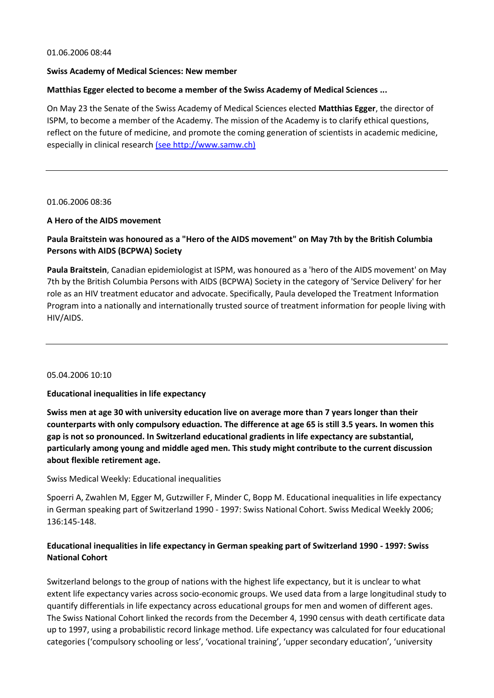#### 01.06.2006 08:44

#### **Swiss Academy of Medical Sciences: New member**

## **Matthias Egger elected to become a member of the Swiss Academy of Medical Sciences ...**

On May 23 the Senate of the Swiss Academy of Medical Sciences elected **Matthias Egger**, the director of ISPM, to become a member of the Academy. The mission of the Academy is to clarify ethical questions, reflect on the future of medicine, and promote the coming generation of scientists in academic medicine, especially in clinical research [\(see http://www.samw.ch\)](http://www.samw.ch/)

#### 01.06.2006 08:36

## **A Hero of the AIDS movement**

# **Paula Braitstein was honoured as a "Hero of the AIDS movement" on May 7th by the British Columbia Persons with AIDS (BCPWA) Society**

**Paula Braitstein**, Canadian epidemiologist at ISPM, was honoured as a 'hero of the AIDS movement' on May 7th by the British Columbia Persons with AIDS (BCPWA) Society in the category of 'Service Delivery' for her role as an HIV treatment educator and advocate. Specifically, Paula developed the Treatment Information Program into a nationally and internationally trusted source of treatment information for people living with HIV/AIDS.

## 05.04.2006 10:10

## **Educational inequalities in life expectancy**

**Swiss men at age 30 with university education live on average more than 7 years longer than their counterparts with only compulsory eduaction. The difference at age 65 is still 3.5 years. In women this gap is not so pronounced. In Switzerland educational gradients in life expectancy are substantial, particularly among young and middle aged men. This study might contribute to the current discussion about flexible retirement age.**

Swiss Medical Weekly: Educational inequalities

Spoerri A, Zwahlen M, Egger M, Gutzwiller F, Minder C, Bopp M. Educational inequalities in life expectancy in German speaking part of Switzerland 1990 - 1997: Swiss National Cohort. Swiss Medical Weekly 2006; 136:145-148.

# **Educational inequalities in life expectancy in German speaking part of Switzerland 1990 - 1997: Swiss National Cohort**

Switzerland belongs to the group of nations with the highest life expectancy, but it is unclear to what extent life expectancy varies across socio-economic groups. We used data from a large longitudinal study to quantify differentials in life expectancy across educational groups for men and women of different ages. The Swiss National Cohort linked the records from the December 4, 1990 census with death certificate data up to 1997, using a probabilistic record linkage method. Life expectancy was calculated for four educational categories ('compulsory schooling or less', 'vocational training', 'upper secondary education', 'university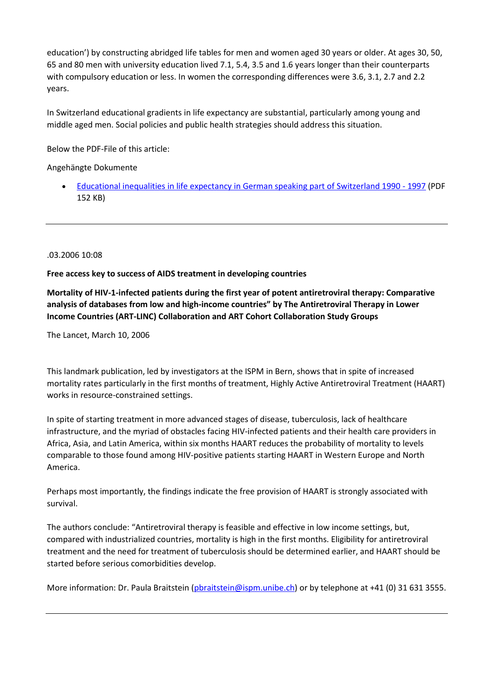education') by constructing abridged life tables for men and women aged 30 years or older. At ages 30, 50, 65 and 80 men with university education lived 7.1, 5.4, 3.5 and 1.6 years longer than their counterparts with compulsory education or less. In women the corresponding differences were 3.6, 3.1, 2.7 and 2.2 years.

In Switzerland educational gradients in life expectancy are substantial, particularly among young and middle aged men. Social policies and public health strategies should address this situation.

Below the PDF-File of this article:

Angehängte Dokumente

 [Educational inequalities in life expectancy in German speaking part of Switzerland 1990 -](http://staging.ispm.ch/fileadmin/doc_download/1504.Educational_inequalities_spoerri06.pdf) 1997 (PDF 152 KB)

.03.2006 10:08

**Free access key to success of AIDS treatment in developing countries**

**Mortality of HIV-1-infected patients during the first year of potent antiretroviral therapy: Comparative analysis of databases from low and high-income countries" by The Antiretroviral Therapy in Lower Income Countries (ART-LINC) Collaboration and ART Cohort Collaboration Study Groups**

The Lancet, March 10, 2006

This landmark publication, led by investigators at the ISPM in Bern, shows that in spite of increased mortality rates particularly in the first months of treatment, Highly Active Antiretroviral Treatment (HAART) works in resource-constrained settings.

In spite of starting treatment in more advanced stages of disease, tuberculosis, lack of healthcare infrastructure, and the myriad of obstacles facing HIV-infected patients and their health care providers in Africa, Asia, and Latin America, within six months HAART reduces the probability of mortality to levels comparable to those found among HIV-positive patients starting HAART in Western Europe and North America.

Perhaps most importantly, the findings indicate the free provision of HAART is strongly associated with survival.

The authors conclude: "Antiretroviral therapy is feasible and effective in low income settings, but, compared with industrialized countries, mortality is high in the first months. Eligibility for antiretroviral treatment and the need for treatment of tuberculosis should be determined earlier, and HAART should be started before serious comorbidities develop.

More information: Dr. Paula Braitstein [\(pbraitstein@ispm.unibe.ch\)](mailto:pbraitstein@ispm.unibe.ch) or by telephone at +41 (0) 31 631 3555.